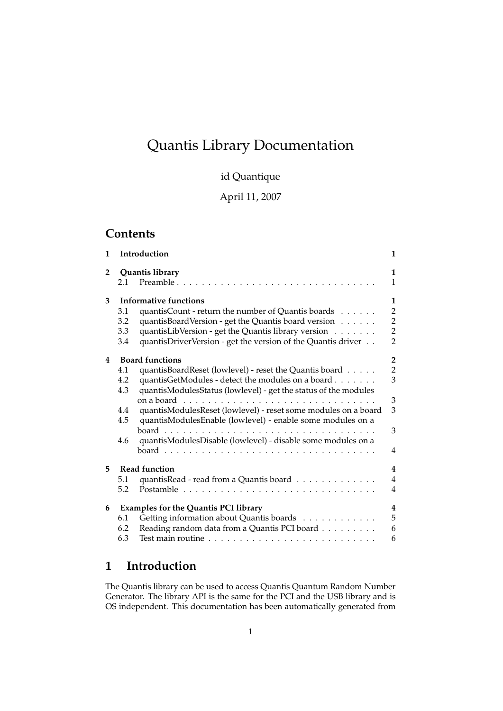# Quantis Library Documentation

id Quantique

April 11, 2007

## **Contents**

| $\mathbf{1}$   |                                             | Introduction                                                    | 1              |
|----------------|---------------------------------------------|-----------------------------------------------------------------|----------------|
| $\overline{2}$ | Quantis library                             |                                                                 | 1              |
|                | 2.1                                         | Preamble $\ldots$                                               | $\mathbf{1}$   |
| 3              | Informative functions                       |                                                                 | 1              |
|                | 3.1                                         | quantisCount - return the number of Quantis boards              | $\overline{2}$ |
|                | 3.2                                         | quantisBoardVersion - get the Quantis board version             | $\overline{2}$ |
|                | 3.3                                         | quantisLibVersion - get the Quantis library version             | $\overline{2}$ |
|                | 3.4                                         | quantisDriverVersion - get the version of the Quantis driver    | $\overline{2}$ |
| 4              | <b>Board functions</b>                      |                                                                 | $\overline{2}$ |
|                | 4.1                                         | quantisBoardReset (lowlevel) - reset the Quantis board          | $\overline{2}$ |
|                | 4.2                                         | quantisGetModules - detect the modules on a board               | 3              |
|                | 4.3                                         | quantisModulesStatus (lowlevel) - get the status of the modules |                |
|                |                                             |                                                                 | 3              |
|                | 4.4                                         | quantisModulesReset (lowlevel) - reset some modules on a board  | 3              |
|                | 4.5                                         | quantisModulesEnable (lowlevel) - enable some modules on a      |                |
|                |                                             |                                                                 | 3              |
|                | 4.6                                         | quantisModulesDisable (lowlevel) - disable some modules on a    |                |
|                |                                             |                                                                 | $\overline{4}$ |
| 5              | Read function                               |                                                                 | $\overline{4}$ |
|                | 5.1                                         | quantisRead - read from a Quantis board                         | $\overline{4}$ |
|                | 5.2                                         |                                                                 | $\overline{4}$ |
| 6              | <b>Examples for the Quantis PCI library</b> |                                                                 | $\overline{4}$ |
|                | 6.1                                         | Getting information about Quantis boards                        | 5              |
|                | 6.2                                         | Reading random data from a Quantis PCI board                    | 6              |
|                | 6.3                                         |                                                                 | 6              |
|                |                                             |                                                                 |                |

## **1 Introduction**

The Quantis library can be used to access Quantis Quantum Random Number Generator. The library API is the same for the PCI and the USB library and is OS independent. This documentation has been automatically generated from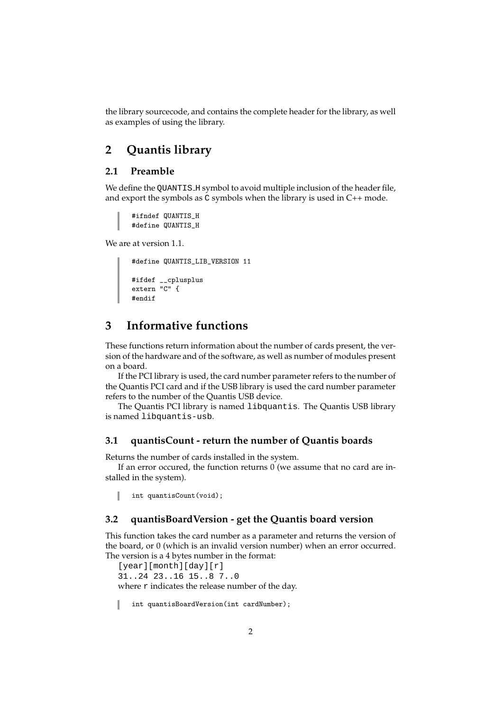the library sourcecode, and contains the complete header for the library, as well as examples of using the library.

## **2 Quantis library**

## **2.1 Preamble**

We define the QUANTIS\_H symbol to avoid multiple inclusion of the header file, and export the symbols as C symbols when the library is used in C++ mode.

```
#ifndef QUANTIS_H
#define QUANTIS_H
```
We are at version 1.1.

```
#define QUANTIS_LIB_VERSION 11
#ifdef __cplusplus
extern "C" {
#endif
```
## **3 Informative functions**

These functions return information about the number of cards present, the version of the hardware and of the software, as well as number of modules present on a board.

If the PCI library is used, the card number parameter refers to the number of the Quantis PCI card and if the USB library is used the card number parameter refers to the number of the Quantis USB device.

The Quantis PCI library is named libquantis. The Quantis USB library is named libquantis-usb.

#### **3.1 quantisCount - return the number of Quantis boards**

Returns the number of cards installed in the system.

If an error occured, the function returns 0 (we assume that no card are installed in the system).

ı int quantisCount(void);

#### **3.2 quantisBoardVersion - get the Quantis board version**

This function takes the card number as a parameter and returns the version of the board, or 0 (which is an invalid version number) when an error occurred. The version is a 4 bytes number in the format:

```
[year][month][day][r]
31..24 23..16 15..8 7..0
where r indicates the release number of the day.
   int quantisBoardVersion(int cardNumber);
```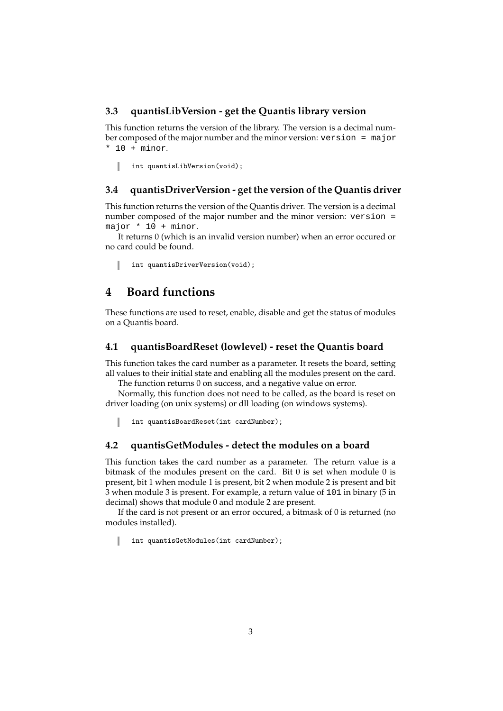### **3.3 quantisLibVersion - get the Quantis library version**

This function returns the version of the library. The version is a decimal number composed of the major number and the minor version: version = major  $*$  10 + minor.

int quantisLibVersion(void);

## **3.4 quantisDriverVersion - get the version of the Quantis driver**

This function returns the version of the Quantis driver. The version is a decimal number composed of the major number and the minor version: version = major  $* 10 + \text{minor.}$ 

It returns 0 (which is an invalid version number) when an error occured or no card could be found.

int quantisDriverVersion(void);

## **4 Board functions**

These functions are used to reset, enable, disable and get the status of modules on a Quantis board.

### **4.1 quantisBoardReset (lowlevel) - reset the Quantis board**

This function takes the card number as a parameter. It resets the board, setting all values to their initial state and enabling all the modules present on the card.

The function returns 0 on success, and a negative value on error.

Normally, this function does not need to be called, as the board is reset on driver loading (on unix systems) or dll loading (on windows systems).

I int quantisBoardReset(int cardNumber);

#### **4.2 quantisGetModules - detect the modules on a board**

This function takes the card number as a parameter. The return value is a bitmask of the modules present on the card. Bit 0 is set when module 0 is present, bit 1 when module 1 is present, bit 2 when module 2 is present and bit 3 when module 3 is present. For example, a return value of 101 in binary (5 in decimal) shows that module 0 and module 2 are present.

If the card is not present or an error occured, a bitmask of 0 is returned (no modules installed).

int quantisGetModules(int cardNumber); ı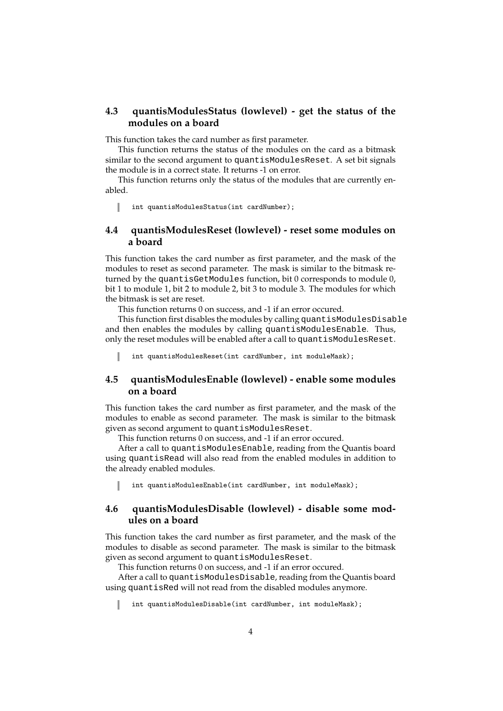## **4.3 quantisModulesStatus (lowlevel) - get the status of the modules on a board**

This function takes the card number as first parameter.

This function returns the status of the modules on the card as a bitmask similar to the second argument to quantisModulesReset. A set bit signals the module is in a correct state. It returns -1 on error.

This function returns only the status of the modules that are currently enabled.

I int quantisModulesStatus(int cardNumber);

## **4.4 quantisModulesReset (lowlevel) - reset some modules on a board**

This function takes the card number as first parameter, and the mask of the modules to reset as second parameter. The mask is similar to the bitmask returned by the quantisGetModules function, bit 0 corresponds to module 0, bit 1 to module 1, bit 2 to module 2, bit 3 to module 3. The modules for which the bitmask is set are reset.

This function returns 0 on success, and -1 if an error occured.

This function first disables the modules by calling quantisModulesDisable and then enables the modules by calling quantisModulesEnable. Thus, only the reset modules will be enabled after a call to quantisModulesReset.

int quantisModulesReset(int cardNumber, int moduleMask);

## **4.5 quantisModulesEnable (lowlevel) - enable some modules on a board**

This function takes the card number as first parameter, and the mask of the modules to enable as second parameter. The mask is similar to the bitmask given as second argument to quantisModulesReset.

This function returns 0 on success, and -1 if an error occured.

After a call to quantisModulesEnable, reading from the Quantis board using quantisRead will also read from the enabled modules in addition to the already enabled modules.

int quantisModulesEnable(int cardNumber, int moduleMask);

### **4.6 quantisModulesDisable (lowlevel) - disable some modules on a board**

This function takes the card number as first parameter, and the mask of the modules to disable as second parameter. The mask is similar to the bitmask given as second argument to quantisModulesReset.

This function returns 0 on success, and -1 if an error occured.

After a call to quantisModulesDisable, reading from the Quantis board using quantisRed will not read from the disabled modules anymore.

int quantisModulesDisable(int cardNumber, int moduleMask);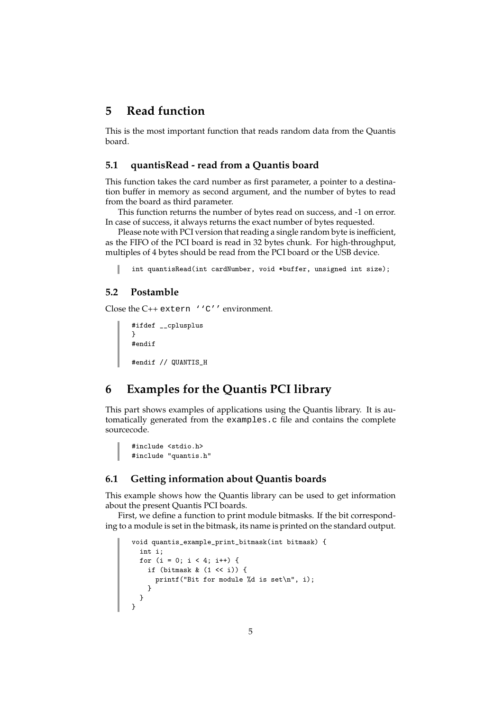## **5 Read function**

This is the most important function that reads random data from the Quantis board.

### **5.1 quantisRead - read from a Quantis board**

This function takes the card number as first parameter, a pointer to a destination buffer in memory as second argument, and the number of bytes to read from the board as third parameter.

This function returns the number of bytes read on success, and -1 on error. In case of success, it always returns the exact number of bytes requested.

Please note with PCI version that reading a single random byte is inefficient, as the FIFO of the PCI board is read in 32 bytes chunk. For high-throughput, multiples of 4 bytes should be read from the PCI board or the USB device.

```
int quantisRead(int cardNumber, void *buffer, unsigned int size);
```
### **5.2 Postamble**

Close the C++ extern ''C'' environment.

```
#ifdef __cplusplus
}
#endif
#endif // QUANTIS_H
```
## **6 Examples for the Quantis PCI library**

This part shows examples of applications using the Quantis library. It is automatically generated from the examples.c file and contains the complete sourcecode.

```
#include <stdio.h>
#include "quantis.h"
```
### **6.1 Getting information about Quantis boards**

This example shows how the Quantis library can be used to get information about the present Quantis PCI boards.

First, we define a function to print module bitmasks. If the bit corresponding to a module is set in the bitmask, its name is printed on the standard output.

```
void quantis_example_print_bitmask(int bitmask) {
 int i;
 for (i = 0; i < 4; i++) {
  if (bitmask & (1 << i)) {
     printf("Bit for module %d is set\n", i);
    }
 }
}
```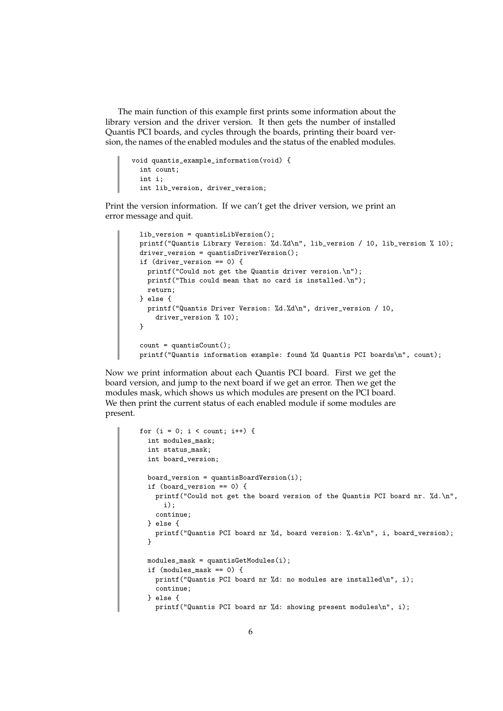The main function of this example first prints some information about the library version and the driver version. It then gets the number of installed Quantis PCI boards, and cycles through the boards, printing their board version, the names of the enabled modules and the status of the enabled modules.

```
void quantis_example_information(void) {
 int count;
 int i;
 int lib_version, driver_version;
```
Print the version information. If we can't get the driver version, we print an error message and quit.

```
lib_version = quantisLibVersion();
printf("Quantis Library Version: %d.%d\n", lib_version / 10, lib_version % 10);
driver_version = quantisDriverVersion();
if (driver_version == 0) {
 printf("Could not get the Quantis driver version.\n");
 printf("This could mean that no card is installed.\n");
 return;
} else {
 printf("Quantis Driver Version: %d.%d\n", driver_version / 10,
    driver_version % 10);
}
count = quantisCount();
printf("Quantis information example: found %d Quantis PCI boards\n", count);
```
Now we print information about each Quantis PCI board. First we get the board version, and jump to the next board if we get an error. Then we get the modules mask, which shows us which modules are present on the PCI board. We then print the current status of each enabled module if some modules are present.

```
for (i = 0; i < count; i++) {
 int modules mask:
 int status_mask;
 int board_version;
 board\_version = quantisBoardVersion(i);if (board version == 0) {
   printf("Could not get the board version of the Quantis PCI board nr. %d.\n",
     i);
   continue;
 } else {
   printf("Quantis PCI board nr %d, board version: %.4x\n", i, board_version);
 }
 modules\_mask = quantisGetModules(i);if (modules_mask == 0) {
   printf("Quantis PCI board nr %d: no modules are installed\n", i);
   continue;
 } else {
   printf("Quantis PCI board nr %d: showing present modules\n", i);
```